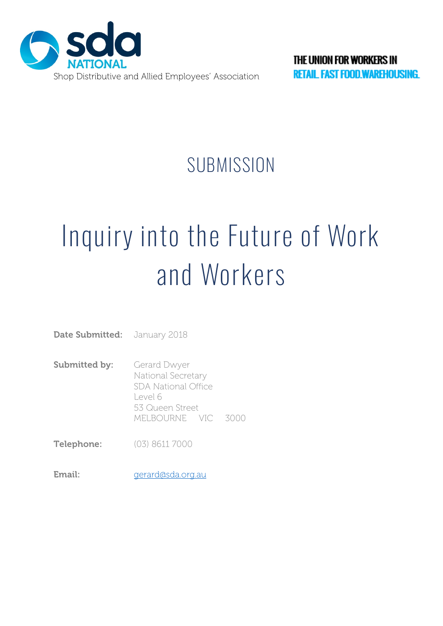

# **SUBMISSION**

# Inquiry into the Future of Work and Workers

**Date Submitted:** January 2018

- **Submitted by:** Gerard Dwyer National Secretary SDA National Office Level 6 53 Queen Street MELBOURNE VIC 3000
- **Telephone:** (03) 8611 7000
- Email: [ge](mailto:ian@sda.org.au)rard@sda.org.au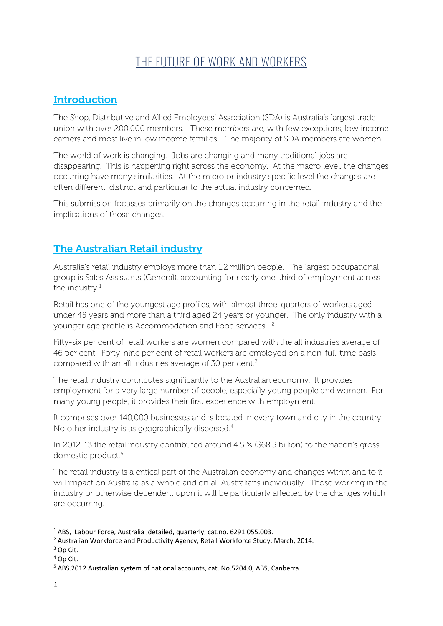# THE FUTURE OF WORK AND WORKERS

## **Introduction**

The Shop, Distributive and Allied Employees' Association (SDA) is Australia's largest trade union with over 200,000 members. These members are, with few exceptions, low income earners and most live in low income families. The majority of SDA members are women.

The world of work is changing. Jobs are changing and many traditional jobs are disappearing. This is happening right across the economy. At the macro level, the changes occurring have many similarities. At the micro or industry specific level the changes are often different, distinct and particular to the actual industry concerned.

This submission focusses primarily on the changes occurring in the retail industry and the implications of those changes.

### The Australian Retail industry

Australia's retail industry employs more than 1.2 million people. The largest occupational group is Sales Assistants (General), accounting for nearly one-third of employment across the industry.<sup>[1](#page-1-0)</sup>

Retail has one of the youngest age profiles, with almost three-quarters of workers aged under 45 years and more than a third aged 24 years or younger. The only industry with a younger age profile is Accommodation and Food services. [2](#page-1-1)

Fifty-six per cent of retail workers are women compared with the all industries average of 46 per cent. Forty-nine per cent of retail workers are employed on a non-full-time basis compared with an all industries average of 30 per cent.[3](#page-1-2)

The retail industry contributes significantly to the Australian economy. It provides employment for a very large number of people, especially young people and women. For many young people, it provides their first experience with employment.

It comprises over 140,000 businesses and is located in every town and city in the country. No other industry is as geographically dispersed.<sup>[4](#page-1-3)</sup>

In 2012-13 the retail industry contributed around 4.5 % (\$68.5 billion) to the nation's gross domestic product.[5](#page-1-4)

The retail industry is a critical part of the Australian economy and changes within and to it will impact on Australia as a whole and on all Australians individually. Those working in the industry or otherwise dependent upon it will be particularly affected by the changes which are occurring.

<span id="page-1-0"></span> <sup>1</sup> ABS, Labour Force, Australia ,detailed, quarterly, cat.no. 6291.055.003.

<span id="page-1-1"></span><sup>2</sup> Australian Workforce and Productivity Agency, Retail Workforce Study, March, 2014.

<span id="page-1-2"></span><sup>3</sup> Op Cit.

<span id="page-1-3"></span> $4$  Op Cit.

<span id="page-1-4"></span><sup>5</sup> ABS.2012 Australian system of national accounts, cat. No.5204.0, ABS, Canberra.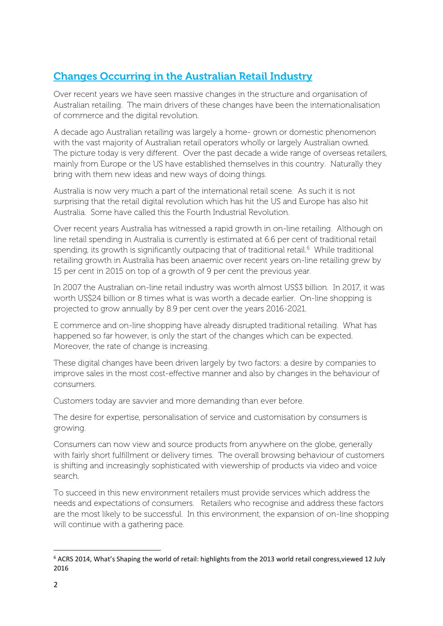# Changes Occurring in the Australian Retail Industry

Over recent years we have seen massive changes in the structure and organisation of Australian retailing. The main drivers of these changes have been the internationalisation of commerce and the digital revolution.

A decade ago Australian retailing was largely a home- grown or domestic phenomenon with the vast majority of Australian retail operators wholly or largely Australian owned. The picture today is very different. Over the past decade a wide range of overseas retailers, mainly from Europe or the US have established themselves in this country. Naturally they bring with them new ideas and new ways of doing things.

Australia is now very much a part of the international retail scene. As such it is not surprising that the retail digital revolution which has hit the US and Europe has also hit Australia. Some have called this the Fourth Industrial Revolution.

Over recent years Australia has witnessed a rapid growth in on-line retailing. Although on line retail spending in Australia is currently is estimated at 6.6 per cent of traditional retail spending, its growth is significantly outpacing that of traditional retail.<sup>[6](#page-2-0)</sup> While traditional retailing growth in Australia has been anaemic over recent years on-line retailing grew by 15 per cent in 2015 on top of a growth of 9 per cent the previous year.

In 2007 the Australian on-line retail industry was worth almost US\$3 billion. In 2017, it was worth US\$24 billion or 8 times what is was worth a decade earlier. On-line shopping is projected to grow annually by 8.9 per cent over the years 2016-2021.

E commerce and on-line shopping have already disrupted traditional retailing. What has happened so far however, is only the start of the changes which can be expected. Moreover, the rate of change is increasing.

These digital changes have been driven largely by two factors: a desire by companies to improve sales in the most cost-effective manner and also by changes in the behaviour of consumers.

Customers today are savvier and more demanding than ever before.

The desire for expertise, personalisation of service and customisation by consumers is growing.

Consumers can now view and source products from anywhere on the globe, generally with fairly short fulfillment or delivery times. The overall browsing behaviour of customers is shifting and increasingly sophisticated with viewership of products via video and voice search.

To succeed in this new environment retailers must provide services which address the needs and expectations of consumers. Retailers who recognise and address these factors are the most likely to be successful. In this environment, the expansion of on-line shopping will continue with a gathering pace.

<span id="page-2-0"></span> <sup>6</sup> ACRS 2014, What's Shaping the world of retail: highlights from the 2013 world retail congress,viewed 12 July 2016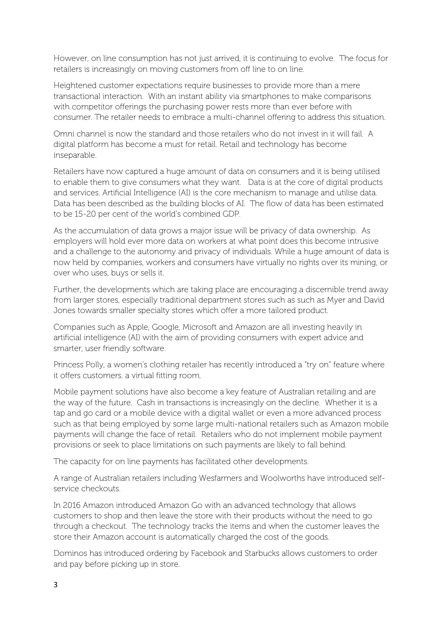However, on line consumption has not just arrived, it is continuing to evolve. The focus for retailers is increasingly on moving customers from off line to on line.

Heightened customer expectations require businesses to provide more than a mere transactional interaction. With an instant ability via smartphones to make comparisons with competitor offerings the purchasing power rests more than ever before with consumer. The retailer needs to embrace a multi-channel offering to address this situation.

Omni channel is now the standard and those retailers who do not invest in it will fail. A digital platform has become a must for retail. Retail and technology has become inseparable.

Retailers have now captured a huge amount of data on consumers and it is being utilised to enable them to give consumers what they want. Data is at the core of digital products and services. Artificial Intelligence (AI) is the core mechanism to manage and utilise data. Data has been described as the building blocks of AI. The flow of data has been estimated to be 15-20 per cent of the world's combined GDP.

As the accumulation of data grows a major issue will be privacy of data ownership. As employers will hold ever more data on workers at what point does this become intrusive and a challenge to the autonomy and privacy of individuals. While a huge amount of data is now held by companies, workers and consumers have virtually no rights over its mining, or over who uses, buys or sells it.

Further, the developments which are taking place are encouraging a discernible trend away from larger stores, especially traditional department stores such as such as Myer and David Jones towards smaller specialty stores which offer a more tailored product.

Companies such as Apple, Google, Microsoft and Amazon are all investing heavily in artificial intelligence (AI) with the aim of providing consumers with expert advice and smarter, user friendly software.

Princess Polly, a women's clothing retailer has recently introduced a "try on" feature where it offers customers. a virtual fitting room.

Mobile payment solutions have also become a key feature of Australian retailing and are the way of the future. Cash in transactions is increasingly on the decline. Whether it is a tap and go card or a mobile device with a digital wallet or even a more advanced process such as that being employed by some large multi-national retailers such as Amazon mobile payments will change the face of retail. Retailers who do not implement mobile payment provisions or seek to place limitations on such payments are likely to fall behind.

The capacity for on line payments has facilitated other developments.

A range of Australian retailers including Wesfarmers and Woolworths have introduced selfservice checkouts.

In 2016 Amazon introduced Amazon Go with an advanced technology that allows customers to shop and then leave the store with their products without the need to go through a checkout. The technology tracks the items and when the customer leaves the store their Amazon account is automatically charged the cost of the goods.

Dominos has introduced ordering by Facebook and Starbucks allows customers to order and pay before picking up in store.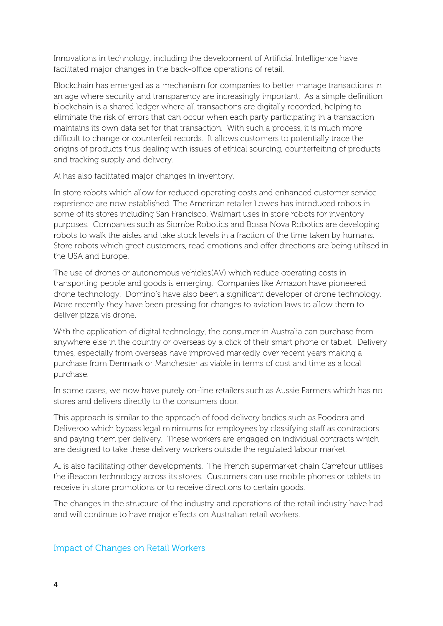Innovations in technology, including the development of Artificial Intelligence have facilitated major changes in the back-office operations of retail.

Blockchain has emerged as a mechanism for companies to better manage transactions in an age where security and transparency are increasingly important. As a simple definition blockchain is a shared ledger where all transactions are digitally recorded, helping to eliminate the risk of errors that can occur when each party participating in a transaction maintains its own data set for that transaction. With such a process, it is much more difficult to change or counterfeit records. It allows customers to potentially trace the origins of products thus dealing with issues of ethical sourcing, counterfeiting of products and tracking supply and delivery.

Ai has also facilitated major changes in inventory.

In store robots which allow for reduced operating costs and enhanced customer service experience are now established. The American retailer Lowes has introduced robots in some of its stores including San Francisco. Walmart uses in store robots for inventory purposes. Companies such as Siombe Robotics and Bossa Nova Robotics are developing robots to walk the aisles and take stock levels in a fraction of the time taken by humans. Store robots which greet customers, read emotions and offer directions are being utilised in the USA and Europe.

The use of drones or autonomous vehicles(AV) which reduce operating costs in transporting people and goods is emerging. Companies like Amazon have pioneered drone technology. Domino's have also been a significant developer of drone technology. More recently they have been pressing for changes to aviation laws to allow them to deliver pizza vis drone.

With the application of digital technology, the consumer in Australia can purchase from anywhere else in the country or overseas by a click of their smart phone or tablet. Delivery times, especially from overseas have improved markedly over recent years making a purchase from Denmark or Manchester as viable in terms of cost and time as a local purchase.

In some cases, we now have purely on-line retailers such as Aussie Farmers which has no stores and delivers directly to the consumers door.

This approach is similar to the approach of food delivery bodies such as Foodora and Deliveroo which bypass legal minimums for employees by classifying staff as contractors and paying them per delivery. These workers are engaged on individual contracts which are designed to take these delivery workers outside the regulated labour market.

AI is also facilitating other developments. The French supermarket chain Carrefour utilises the iBeacon technology across its stores. Customers can use mobile phones or tablets to receive in store promotions or to receive directions to certain goods.

The changes in the structure of the industry and operations of the retail industry have had and will continue to have major effects on Australian retail workers.

Impact of Changes on Retail Workers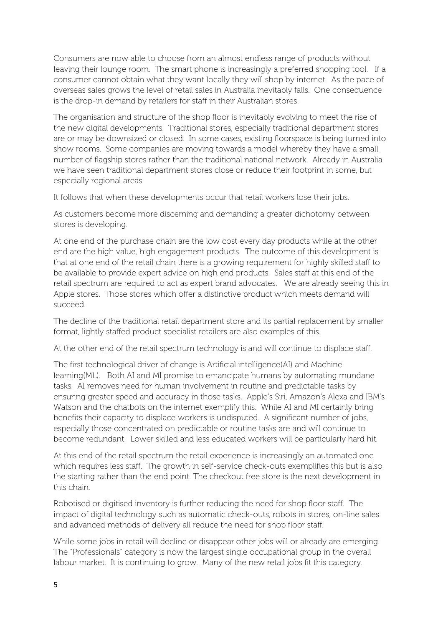Consumers are now able to choose from an almost endless range of products without leaving their lounge room. The smart phone is increasingly a preferred shopping tool. If a consumer cannot obtain what they want locally they will shop by internet. As the pace of overseas sales grows the level of retail sales in Australia inevitably falls. One consequence is the drop-in demand by retailers for staff in their Australian stores.

The organisation and structure of the shop floor is inevitably evolving to meet the rise of the new digital developments. Traditional stores, especially traditional department stores are or may be downsized or closed. In some cases, existing floorspace is being turned into show rooms. Some companies are moving towards a model whereby they have a small number of flagship stores rather than the traditional national network. Already in Australia we have seen traditional department stores close or reduce their footprint in some, but especially regional areas.

It follows that when these developments occur that retail workers lose their jobs.

As customers become more discerning and demanding a greater dichotomy between stores is developing.

At one end of the purchase chain are the low cost every day products while at the other end are the high value, high engagement products. The outcome of this development is that at one end of the retail chain there is a growing requirement for highly skilled staff to be available to provide expert advice on high end products. Sales staff at this end of the retail spectrum are required to act as expert brand advocates. We are already seeing this in Apple stores. Those stores which offer a distinctive product which meets demand will succeed.

The decline of the traditional retail department store and its partial replacement by smaller format, lightly staffed product specialist retailers are also examples of this.

At the other end of the retail spectrum technology is and will continue to displace staff.

The first technological driver of change is Artificial intelligence(AI) and Machine learning(ML). Both AI and MI promise to emancipate humans by automating mundane tasks. AI removes need for human involvement in routine and predictable tasks by ensuring greater speed and accuracy in those tasks. Apple's Siri, Amazon's Alexa and IBM's Watson and the chatbots on the internet exemplify this. While AI and MI certainly bring benefits their capacity to displace workers is undisputed. A significant number of jobs, especially those concentrated on predictable or routine tasks are and will continue to become redundant. Lower skilled and less educated workers will be particularly hard hit.

At this end of the retail spectrum the retail experience is increasingly an automated one which requires less staff. The growth in self-service check-outs exemplifies this but is also the starting rather than the end point. The checkout free store is the next development in this chain.

Robotised or digitised inventory is further reducing the need for shop floor staff. The impact of digital technology such as automatic check-outs, robots in stores, on-line sales and advanced methods of delivery all reduce the need for shop floor staff.

While some jobs in retail will decline or disappear other jobs will or already are emerging. The "Professionals" category is now the largest single occupational group in the overall labour market. It is continuing to grow. Many of the new retail jobs fit this category.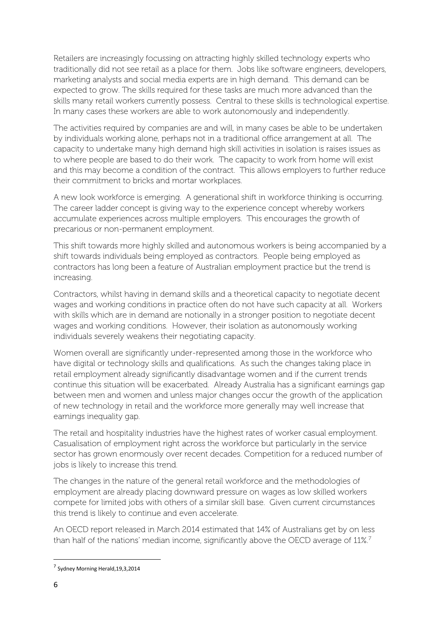Retailers are increasingly focussing on attracting highly skilled technology experts who traditionally did not see retail as a place for them. Jobs like software engineers, developers, marketing analysts and social media experts are in high demand. This demand can be expected to grow. The skills required for these tasks are much more advanced than the skills many retail workers currently possess. Central to these skills is technological expertise. In many cases these workers are able to work autonomously and independently.

The activities required by companies are and will, in many cases be able to be undertaken by individuals working alone, perhaps not in a traditional office arrangement at all. The capacity to undertake many high demand high skill activities in isolation is raises issues as to where people are based to do their work. The capacity to work from home will exist and this may become a condition of the contract. This allows employers to further reduce their commitment to bricks and mortar workplaces.

A new look workforce is emerging. A generational shift in workforce thinking is occurring. The career ladder concept is giving way to the experience concept whereby workers accumulate experiences across multiple employers. This encourages the growth of precarious or non-permanent employment.

This shift towards more highly skilled and autonomous workers is being accompanied by a shift towards individuals being employed as contractors. People being employed as contractors has long been a feature of Australian employment practice but the trend is increasing.

Contractors, whilst having in demand skills and a theoretical capacity to negotiate decent wages and working conditions in practice often do not have such capacity at all. Workers with skills which are in demand are notionally in a stronger position to negotiate decent wages and working conditions. However, their isolation as autonomously working individuals severely weakens their negotiating capacity.

Women overall are significantly under-represented among those in the workforce who have digital or technology skills and qualifications. As such the changes taking place in retail employment already significantly disadvantage women and if the current trends continue this situation will be exacerbated. Already Australia has a significant earnings gap between men and women and unless major changes occur the growth of the application of new technology in retail and the workforce more generally may well increase that earnings inequality gap.

The retail and hospitality industries have the highest rates of worker casual employment. Casualisation of employment right across the workforce but particularly in the service sector has grown enormously over recent decades. Competition for a reduced number of jobs is likely to increase this trend.

The changes in the nature of the general retail workforce and the methodologies of employment are already placing downward pressure on wages as low skilled workers compete for limited jobs with others of a similar skill base. Given current circumstances this trend is likely to continue and even accelerate.

An OECD report released in March 2014 estimated that 14% of Australians get by on less than half of the nations' median income, significantly above the OECD average of 11%.<sup>7</sup>

<span id="page-6-0"></span> <sup>7</sup> Sydney Morning Herald,19,3,2014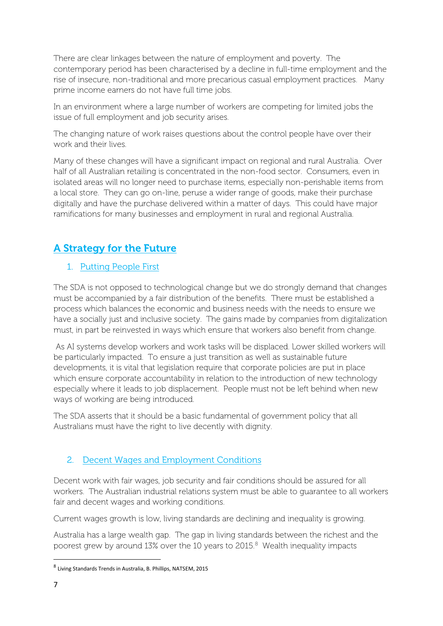There are clear linkages between the nature of employment and poverty. The contemporary period has been characterised by a decline in full-time employment and the rise of insecure, non-traditional and more precarious casual employment practices. Many prime income earners do not have full time jobs.

In an environment where a large number of workers are competing for limited jobs the issue of full employment and job security arises.

The changing nature of work raises questions about the control people have over their work and their lives.

Many of these changes will have a significant impact on regional and rural Australia. Over half of all Australian retailing is concentrated in the non-food sector. Consumers, even in isolated areas will no longer need to purchase items, especially non-perishable items from a local store. They can go on-line, peruse a wider range of goods, make their purchase digitally and have the purchase delivered within a matter of days. This could have major ramifications for many businesses and employment in rural and regional Australia.

# A Strategy for the Future

#### 1. Putting People First

The SDA is not opposed to technological change but we do strongly demand that changes must be accompanied by a fair distribution of the benefits. There must be established a process which balances the economic and business needs with the needs to ensure we have a socially just and inclusive society. The gains made by companies from digitalization must, in part be reinvested in ways which ensure that workers also benefit from change.

As AI systems develop workers and work tasks will be displaced. Lower skilled workers will be particularly impacted. To ensure a just transition as well as sustainable future developments, it is vital that legislation require that corporate policies are put in place which ensure corporate accountability in relation to the introduction of new technology especially where it leads to job displacement. People must not be left behind when new ways of working are being introduced.

The SDA asserts that it should be a basic fundamental of government policy that all Australians must have the right to live decently with dignity.

#### 2. Decent Wages and Employment Conditions

Decent work with fair wages, job security and fair conditions should be assured for all workers. The Australian industrial relations system must be able to guarantee to all workers fair and decent wages and working conditions.

Current wages growth is low, living standards are declining and inequality is growing.

Australia has a large wealth gap. The gap in living standards between the richest and the poorest grew by around 13% over the 10 years to 2015.<sup>[8](#page-7-0)</sup> Wealth inequality impacts

<span id="page-7-0"></span> <sup>8</sup> Living Standards Trends in Australia, B. Phillips, NATSEM, 2015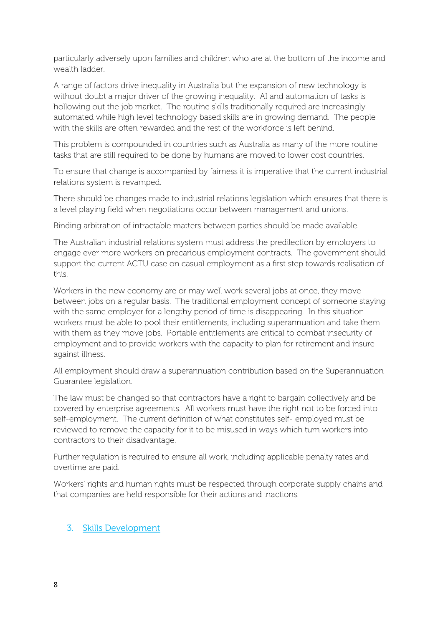particularly adversely upon families and children who are at the bottom of the income and wealth ladder.

A range of factors drive inequality in Australia but the expansion of new technology is without doubt a major driver of the growing inequality. AI and automation of tasks is hollowing out the job market. The routine skills traditionally required are increasingly automated while high level technology based skills are in growing demand. The people with the skills are often rewarded and the rest of the workforce is left behind.

This problem is compounded in countries such as Australia as many of the more routine tasks that are still required to be done by humans are moved to lower cost countries.

To ensure that change is accompanied by fairness it is imperative that the current industrial relations system is revamped.

There should be changes made to industrial relations legislation which ensures that there is a level playing field when negotiations occur between management and unions.

Binding arbitration of intractable matters between parties should be made available.

The Australian industrial relations system must address the predilection by employers to engage ever more workers on precarious employment contracts. The government should support the current ACTU case on casual employment as a first step towards realisation of this.

Workers in the new economy are or may well work several jobs at once, they move between jobs on a regular basis. The traditional employment concept of someone staying with the same employer for a lengthy period of time is disappearing. In this situation workers must be able to pool their entitlements, including superannuation and take them with them as they move jobs. Portable entitlements are critical to combat insecurity of employment and to provide workers with the capacity to plan for retirement and insure against illness.

All employment should draw a superannuation contribution based on the Superannuation Guarantee legislation.

The law must be changed so that contractors have a right to bargain collectively and be covered by enterprise agreements. All workers must have the right not to be forced into self-employment. The current definition of what constitutes self- employed must be reviewed to remove the capacity for it to be misused in ways which turn workers into contractors to their disadvantage.

Further regulation is required to ensure all work, including applicable penalty rates and overtime are paid.

Workers' rights and human rights must be respected through corporate supply chains and that companies are held responsible for their actions and inactions.

#### 3. Skills Development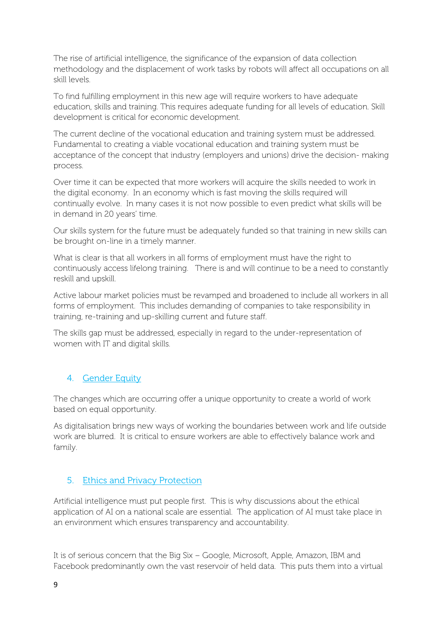The rise of artificial intelligence, the significance of the expansion of data collection methodology and the displacement of work tasks by robots will affect all occupations on all skill levels.

To find fulfilling employment in this new age will require workers to have adequate education, skills and training. This requires adequate funding for all levels of education. Skill development is critical for economic development.

The current decline of the vocational education and training system must be addressed. Fundamental to creating a viable vocational education and training system must be acceptance of the concept that industry (employers and unions) drive the decision- making process.

Over time it can be expected that more workers will acquire the skills needed to work in the digital economy. In an economy which is fast moving the skills required will continually evolve. In many cases it is not now possible to even predict what skills will be in demand in 20 years' time.

Our skills system for the future must be adequately funded so that training in new skills can be brought on-line in a timely manner.

What is clear is that all workers in all forms of employment must have the right to continuously access lifelong training. There is and will continue to be a need to constantly reskill and upskill.

Active labour market policies must be revamped and broadened to include all workers in all forms of employment. This includes demanding of companies to take responsibility in training, re-training and up-skilling current and future staff.

The skills gap must be addressed, especially in regard to the under-representation of women with IT and digital skills.

#### 4. Gender Equity

The changes which are occurring offer a unique opportunity to create a world of work based on equal opportunity.

As digitalisation brings new ways of working the boundaries between work and life outside work are blurred. It is critical to ensure workers are able to effectively balance work and family.

#### 5. Ethics and Privacy Protection

Artificial intelligence must put people first. This is why discussions about the ethical application of AI on a national scale are essential. The application of AI must take place in an environment which ensures transparency and accountability.

It is of serious concern that the Big Six – Google, Microsoft, Apple, Amazon, IBM and Facebook predominantly own the vast reservoir of held data. This puts them into a virtual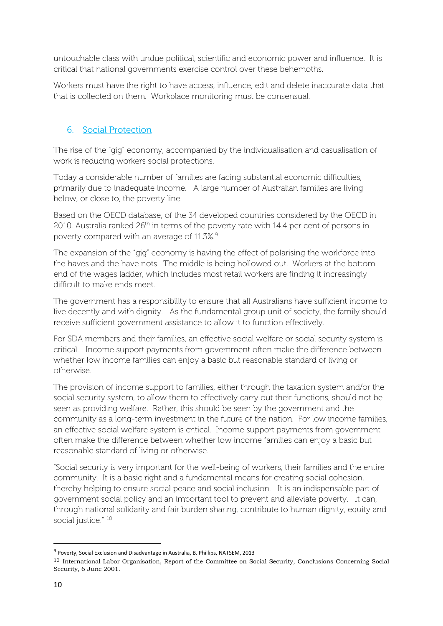untouchable class with undue political, scientific and economic power and influence. It is critical that national governments exercise control over these behemoths.

Workers must have the right to have access, influence, edit and delete inaccurate data that that is collected on them. Workplace monitoring must be consensual.

#### 6. Social Protection

The rise of the "gig" economy, accompanied by the individualisation and casualisation of work is reducing workers social protections.

Today a considerable number of families are facing substantial economic difficulties, primarily due to inadequate income. A large number of Australian families are living below, or close to, the poverty line.

Based on the OECD database, of the 34 developed countries considered by the OECD in 2010. Australia ranked 26<sup>th</sup> in terms of the poverty rate with 14.4 per cent of persons in poverty compared with an average of 11.3%.<sup>[9](#page-10-0)</sup>

The expansion of the "gig" economy is having the effect of polarising the workforce into the haves and the have nots. The middle is being hollowed out. Workers at the bottom end of the wages ladder, which includes most retail workers are finding it increasingly difficult to make ends meet.

The government has a responsibility to ensure that all Australians have sufficient income to live decently and with dignity. As the fundamental group unit of society, the family should receive sufficient government assistance to allow it to function effectively.

For SDA members and their families, an effective social welfare or social security system is critical. Income support payments from government often make the difference between whether low income families can enjoy a basic but reasonable standard of living or otherwise.

The provision of income support to families, either through the taxation system and/or the social security system, to allow them to effectively carry out their functions, should not be seen as providing welfare. Rather, this should be seen by the government and the community as a long-term investment in the future of the nation. For low income families, an effective social welfare system is critical. Income support payments from government often make the difference between whether low income families can enjoy a basic but reasonable standard of living or otherwise.

"Social security is very important for the well-being of workers, their families and the entire community. It is a basic right and a fundamental means for creating social cohesion, thereby helping to ensure social peace and social inclusion. It is an indispensable part of government social policy and an important tool to prevent and alleviate poverty. It can, through national solidarity and fair burden sharing, contribute to human dignity, equity and social justice." <sup>[10](#page-10-1)</sup>

<span id="page-10-0"></span> <sup>9</sup> Poverty, Social Exclusion and Disadvantage in Australia, B. Phillips, NATSEM, 2013

<span id="page-10-1"></span><sup>10</sup> International Labor Organisation, Report of the Committee on Social Security, Conclusions Concerning Social Security, 6 June 2001.